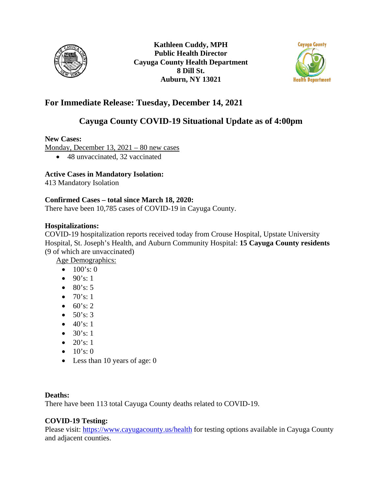



## **For Immediate Release: Tuesday, December 14, 2021**

# **Cayuga County COVID-19 Situational Update as of 4:00pm**

**New Cases:**

Monday, December 13, 2021 – 80 new cases

• 48 unvaccinated, 32 vaccinated

### **Active Cases in Mandatory Isolation:**

413 Mandatory Isolation

#### **Confirmed Cases – total since March 18, 2020:**

There have been 10,785 cases of COVID-19 in Cayuga County.

#### **Hospitalizations:**

COVID-19 hospitalization reports received today from Crouse Hospital, Upstate University Hospital, St. Joseph's Health, and Auburn Community Hospital: **15 Cayuga County residents**  (9 of which are unvaccinated)

Age Demographics:

- $100's:0$
- $90's: 1$
- $80's: 5$
- $70's: 1$
- $60's: 2$
- $50's: 3$
- $40's: 1$
- $30's: 1$
- $20's: 1$
- $10's:0$
- Less than 10 years of age: 0

#### **Deaths:**

There have been 113 total Cayuga County deaths related to COVID-19.

### **COVID-19 Testing:**

Please visit:<https://www.cayugacounty.us/health> for testing options available in Cayuga County and adjacent counties.